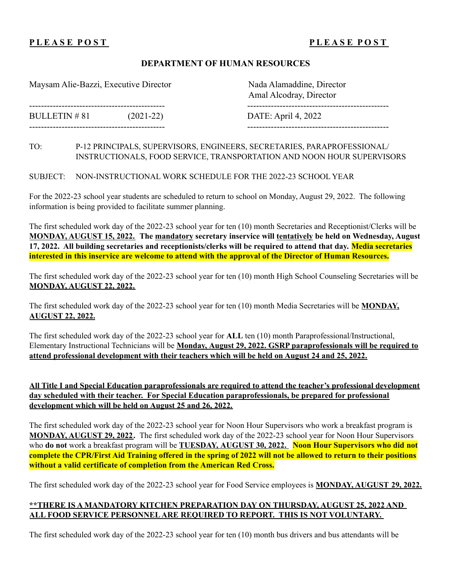# **P L E A S E P O S T P L E A S E P O S T**

#### **DEPARTMENT OF HUMAN RESOURCES**

Maysam Alie-Bazzi, Executive Director Nada Alamaddine, Director

BULLETIN # 81 (2021-22) DATE: April 4, 2022

---------------------------------------------- ------------------------------------------------

Amal Alcodray, Director ---------------------------------------------- ------------------------------------------------

#### TO: P-12 PRINCIPALS, SUPERVISORS, ENGINEERS, SECRETARIES, PARAPROFESSIONAL/ INSTRUCTIONALS, FOOD SERVICE, TRANSPORTATION AND NOON HOUR SUPERVISORS

SUBJECT: NON-INSTRUCTIONAL WORK SCHEDULE FOR THE 2022-23 SCHOOL YEAR

For the 2022-23 school year students are scheduled to return to school on Monday, August 29, 2022. The following information is being provided to facilitate summer planning.

The first scheduled work day of the 2022-23 school year for ten (10) month Secretaries and Receptionist/Clerks will be **MONDAY, AUGUST 15, 2022. The mandatory secretary inservice will tentatively be held on Wednesday, August** 17, 2022. All building secretaries and receptionists/clerks will be required to attend that day. Media secretaries **interested in this inservice are welcome to attend with the approval of the Director of Human Resources.**

The first scheduled work day of the 2022-23 school year for ten (10) month High School Counseling Secretaries will be **MONDAY, AUGUST 22, 2022.**

The first scheduled work day of the 2022-23 school year for ten (10) month Media Secretaries will be **MONDAY, AUGUST 22, 2022.**

The first scheduled work day of the 2022-23 school year for **ALL** ten (10) month Paraprofessional/Instructional, Elementary Instructional Technicians will be **Monday, August 29, 2022. GSRP paraprofessionals will be required to attend professional development with their teachers which will be held on August 24 and 25, 2022.**

**All Title I and Special Education paraprofessionals are required to attend the teacher's professional development day scheduled with their teacher. For Special Education paraprofessionals, be prepared for professional development which will be held on August 25 and 26, 2022.**

The first scheduled work day of the 2022-23 school year for Noon Hour Supervisors who work a breakfast program is **MONDAY, AUGUST 29, 2022.** The first scheduled work day of the 2022-23 school year for Noon Hour Supervisors who **do not** work a breakfast program will be **TUESDAY, AUGUST 30, 2022. Noon Hour Supervisors who did not** complete the CPR/First Aid Training offered in the spring of 2022 will not be allowed to return to their positions **without a valid certificate of completion from the American Red Cross.**

The first scheduled work day of the 2022-23 school year for Food Service employees is **MONDAY, AUGUST 29, 2022.**

### **\*\*THERE IS A MANDATORY KITCHEN PREPARATION DAY ON THURSDAY, AUGUST 25, 2022 AND ALL FOOD SERVICE PERSONNELARE REQUIRED TO REPORT. THIS IS NOT VOLUNTARY.**

The first scheduled work day of the 2022-23 school year for ten (10) month bus drivers and bus attendants will be